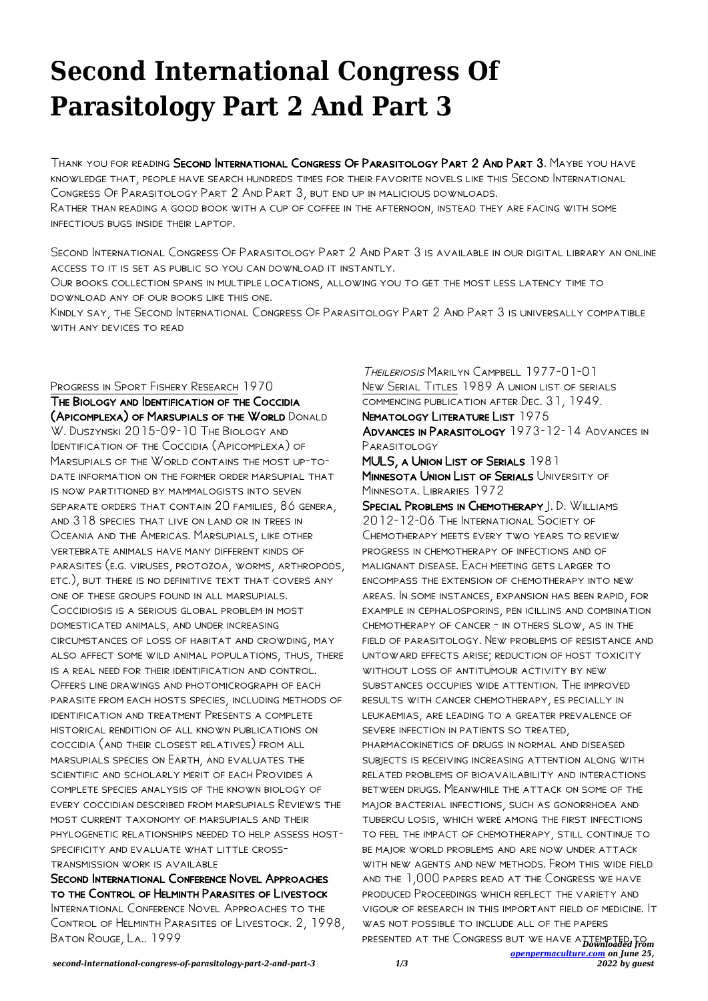## **Second International Congress Of Parasitology Part 2 And Part 3**

Thank you for reading Second International Congress Of Parasitology Part 2 And Part 3. Maybe you have knowledge that, people have search hundreds times for their favorite novels like this Second International Congress Of Parasitology Part 2 And Part 3, but end up in malicious downloads. Rather than reading a good book with a cup of coffee in the afternoon, instead they are facing with some infectious bugs inside their laptop.

Second International Congress Of Parasitology Part 2 And Part 3 is available in our digital library an online access to it is set as public so you can download it instantly.

Our books collection spans in multiple locations, allowing you to get the most less latency time to download any of our books like this one.

Kindly say, the Second International Congress Of Parasitology Part 2 And Part 3 is universally compatible with any devices to read

Progress in Sport Fishery Research 1970

The Biology and Identification of the Coccidia (Apicomplexa) of Marsupials of the World Donald W. DUSZYNSKI 2015-09-10 THE BIOLOGY AND Identification of the Coccidia (Apicomplexa) of Marsupials of the World contains the most up-todate information on the former order marsupial that is now partitioned by mammalogists into seven separate orders that contain 20 families, 86 genera, and 318 species that live on land or in trees in Oceania and the Americas. Marsupials, like other vertebrate animals have many different kinds of parasites (e.g. viruses, protozoa, worms, arthropods, etc.), but there is no definitive text that covers any one of these groups found in all marsupials. Coccidiosis is a serious global problem in most domesticated animals, and under increasing circumstances of loss of habitat and crowding, may also affect some wild animal populations, thus, there is a real need for their identification and control. Offers line drawings and photomicrograph of each parasite from each hosts species, including methods of identification and treatment Presents a complete historical rendition of all known publications on coccidia (and their closest relatives) from all marsupials species on Earth, and evaluates the scientific and scholarly merit of each Provides a complete species analysis of the known biology of every coccidian described from marsupials Reviews the most current taxonomy of marsupials and their phylogenetic relationships needed to help assess hostspecificity and evaluate what little crosstransmission work is available

Second International Conference Novel Approaches to the Control of Helminth Parasites of Livestock International Conference Novel Approaches to the CONTROL OF HELMINTH PARASITES OF LIVESTOCK. 2, 1998, Baton Rouge, La.. 1999

Theileriosis Marilyn Campbell 1977-01-01 New Serial Titles 1989 A union list of serials commencing publication after Dec. 31, 1949. NEMATOLOGY LITERATURE LIST 1975

Advances in Parasitology 1973-12-14 Advances in PARASITOI OGY

MULS, A UNION LIST OF SERIALS 1981 MINNESOTA UNION LIST OF SERIALS UNIVERSITY OF MINNESOTA LIBRARIES 1972

presented at the Congress but we have a<del>ttempted from</del> *[openpermaculture.com](http://openpermaculture.com) on June 25,* Special Problems in Chemotherapy J. D. Williams 2012-12-06 The International Society of Chemotherapy meets every two years to review progress in chemotherapy of infections and of malignant disease. Each meeting gets larger to encompass the extension of chemotherapy into new areas. In some instances, expansion has been rapid, for example in cephalosporins, pen icillins and combination chemotherapy of cancer - in others slow, as in the field of parasitology. New problems of resistance and untoward effects arise; reduction of host toxicity without loss of antitumour activity by new substances occupies wide attention. The improved results with cancer chemotherapy, es pecially in leukaemias, are leading to a greater prevalence of severe infection in patients so treated, pharmacokinetics of drugs in normal and diseased subjects is receiving increasing attention along with related problems of bioavailability and interactions between drugs. Meanwhile the attack on some of the major bacterial infections, such as gonorrhoea and tubercu losis, which were among the first infections to feel the impact of chemotherapy, still continue to be major world problems and are now under attack with new agents and new methods. From this wide field and the 1,000 papers read at the Congress we have produced Proceedings which reflect the variety and vigour of research in this important field of medicine. It was not possible to include all of the papers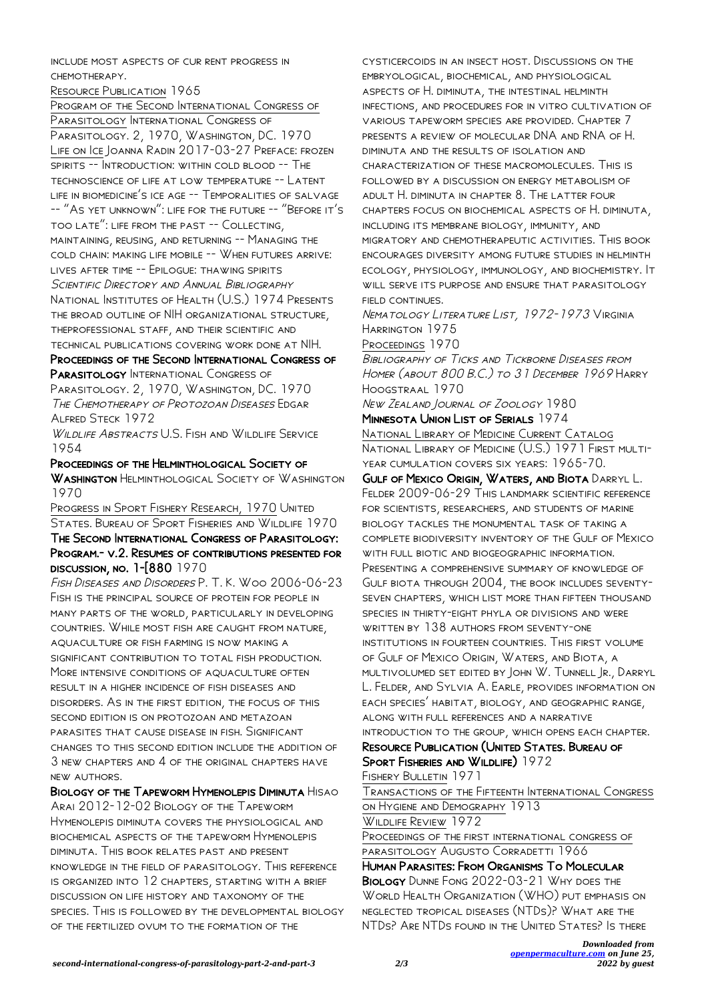include most aspects of cur rent progress in chemotherapy.

Resource Publication 1965

Program of the Second International Congress of Parasitology International Congress of PARASITOLOGY. 2, 1970, WASHINGTON, DC. 1970 Life on Ice Joanna Radin 2017-03-27 Preface: frozen spirits -- Introduction: within cold blood -- The technoscience of life at low temperature -- Latent LIFE IN BIOMEDICINE'S ICE AGE -- TEMPORALITIES OF SALVAGE -- "As yet unknown": life for the future -- "Before it's too late": life from the past -- Collecting, maintaining, reusing, and returning -- Managing the cold chain: making life mobile -- When futures arrive: lives after time -- Epilogue: thawing spirits Scientific Directory and Annual Bibliography National Institutes of Health (U.S.) 1974 Presents the broad outline of NIH organizational structure, theprofessional staff, and their scientific and technical publications covering work done at NIH.

Proceedings of the Second International Congress of PARASITOLOGY INTERNATIONAL CONGRESS OF

PARASITOLOGY. 2, 1970, WASHINGTON, DC. 1970 The Chemotherapy of Protozoan Diseases Edgar Alfred Steck 1972

Wildlife Abstracts U.S. Fish and Wildlife Service 1954

Proceedings of the Helminthological Society of WASHINGTON HELMINTHOLOGICAL SOCIETY OF WASHINGTON 1970

Progress in Sport Fishery Research, 1970 United States. Bureau of Sport Fisheries and Wildlife 1970 The Second International Congress of Parasitology: Program.- v.2. Resumes of contributions presented for discussion, no. 1-[880 1970

Fish Diseases and Disorders P. T. K. Woo 2006-06-23 Fish is the principal source of protein for people in many parts of the world, particularly in developing countries. While most fish are caught from nature, aquaculture or fish farming is now making a SIGNIFICANT CONTRIBUTION TO TOTAL FISH PRODUCTION. MORE INTENSIVE CONDITIONS OF AQUACULTURE OFTEN result in a higher incidence of fish diseases and disorders. As in the first edition, the focus of this second edition is on protozoan and metazoan parasites that cause disease in fish. Significant changes to this second edition include the addition of 3 new chapters and 4 of the original chapters have new authors.

Biology of the Tapeworm Hymenolepis Diminuta Hisao Arai 2012-12-02 Biology of the Tapeworm Hymenolepis diminuta covers the physiological and biochemical aspects of the tapeworm Hymenolepis diminuta. This book relates past and present knowledge in the field of parasitology. This reference is organized into 12 chapters, starting with a brief discussion on life history and taxonomy of the species. This is followed by the developmental biology of the fertilized ovum to the formation of the

cysticercoids in an insect host. Discussions on the embryological, biochemical, and physiological aspects of H. diminuta, the intestinal helminth infections, and procedures for in vitro cultivation of various tapeworm species are provided. Chapter 7 presents a review of molecular DNA and RNA of H. diminuta and the results of isolation and characterization of these macromolecules. This is followed by a discussion on energy metabolism of adult H. diminuta in chapter 8. The latter four chapters focus on biochemical aspects of H. diminuta, including its membrane biology, immunity, and migratory and chemotherapeutic activities. This book encourages diversity among future studies in helminth ecology, physiology, immunology, and biochemistry. It WILL SERVE ITS PURPOSE AND ENSURE THAT PARASITOLOGY FIELD CONTINUES.

Nematology Literature List, 1972-1973 Virginia Harrington 1975

Proceedings 1970

Bibliography of Ticks and Tickborne Diseases from Homer (about 800 B.C.) to 31 December 1969 Harry Hoogstraal 1970

New Zealand Journal of Zoology 1980 Minnesota Union List of Serials 1974

National Library of Medicine Current Catalog National Library of Medicine (U.S.) 1971 First multiyear cumulation covers six years: 1965-70.

Gulf of Mexico Origin, Waters, and Biota Darryl L. Felder 2009-06-29 This landmark scientific reference for scientists, researchers, and students of marine biology tackles the monumental task of taking a complete biodiversity inventory of the Gulf of Mexico with full biotic and biogeographic information.

Presenting a comprehensive summary of knowledge of Gulf biota through 2004, the book includes seventyseven chapters, which list more than fifteen thousand species in thirty-eight phyla or divisions and were written by 138 authors from seventy-one institutions in fourteen countries. This first volume of Gulf of Mexico Origin, Waters, and Biota, a multivolumed set edited by John W. Tunnell Jr., Darryl L. Felder, and Sylvia A. Earle, provides information on each species' habitat, biology, and geographic range, along with full references and a narrative

introduction to the group, which opens each chapter. Resource Publication (United States. Bureau of SPORT FISHERIES AND WILDLIFE) 1972

Fishery Bulletin 1971

Transactions of the Fifteenth International Congress on Hygiene and Demography 1913

WILDLIFE REVIEW 1972

Proceedings of the first international congress of parasitology Augusto Corradetti 1966

Human Parasites: From Organisms To Molecular Biology Dunne Fong 2022-03-21 Why does the World Health Organization (WHO) put emphasis on neglected tropical diseases (NTDs)? What are the NTDs? Are NTDs found in the United States? Is there